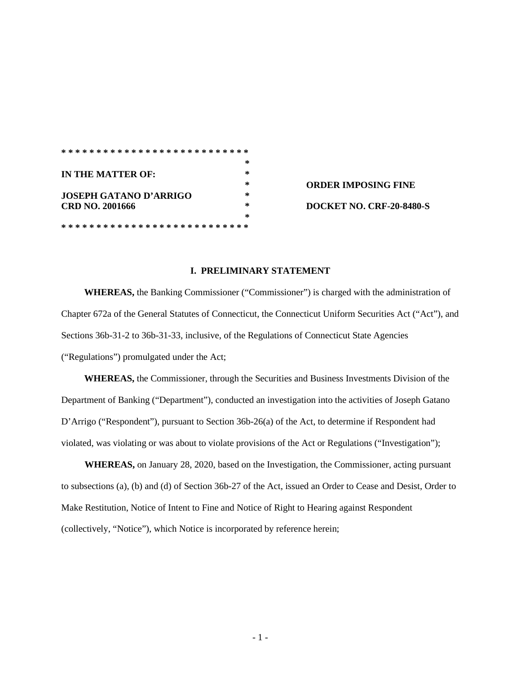|                               | ∗  |                            |
|-------------------------------|----|----------------------------|
| IN THE MATTER OF:             | ∗  |                            |
|                               | ÷. | <b>ORDER IMPOSING FINE</b> |
| <b>JOSEPH GATANO D'ARRIGO</b> | ∗  |                            |
| CRD NO. 2001666               | ∗  | DOCKET NO. CRF-20-8480-S   |
|                               | ∗  |                            |
|                               |    |                            |

## **I. PRELIMINARY STATEMENT**

**WHEREAS,** the Banking Commissioner ("Commissioner") is charged with the administration of Chapter 672a of the General Statutes of Connecticut, the Connecticut Uniform Securities Act ("Act"), and Sections 36b-31-2 to 36b-31-33, inclusive, of the Regulations of Connecticut State Agencies ("Regulations") promulgated under the Act;

**WHEREAS,** the Commissioner, through the Securities and Business Investments Division of the Department of Banking ("Department"), conducted an investigation into the activities of Joseph Gatano D'Arrigo ("Respondent"), pursuant to Section 36b-26(a) of the Act, to determine if Respondent had violated, was violating or was about to violate provisions of the Act or Regulations ("Investigation");

**WHEREAS,** on January 28, 2020, based on the Investigation, the Commissioner*,* acting pursuant to subsections (a), (b) and (d) of Section 36b-27 of the Act, issued an Order to Cease and Desist, Order to Make Restitution, Notice of Intent to Fine and Notice of Right to Hearing against Respondent (collectively, "Notice"), which Notice is incorporated by reference herein;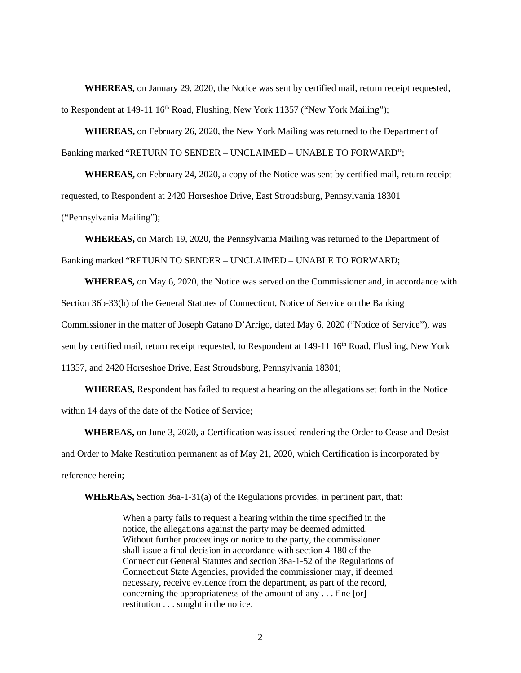**WHEREAS,** on January 29, 2020, the Notice was sent by certified mail, return receipt requested, to Respondent at 149-11  $16<sup>th</sup>$  Road, Flushing, New York 11357 ("New York Mailing");

**WHEREAS,** on February 26, 2020, the New York Mailing was returned to the Department of Banking marked "RETURN TO SENDER – UNCLAIMED – UNABLE TO FORWARD";

**WHEREAS,** on February 24, 2020, a copy of the Notice was sent by certified mail, return receipt requested, to Respondent at 2420 Horseshoe Drive, East Stroudsburg, Pennsylvania 18301 ("Pennsylvania Mailing");

**WHEREAS,** on March 19, 2020, the Pennsylvania Mailing was returned to the Department of Banking marked "RETURN TO SENDER – UNCLAIMED – UNABLE TO FORWARD;

**WHEREAS,** on May 6, 2020, the Notice was served on the Commissioner and, in accordance with Section 36b-33(h) of the General Statutes of Connecticut, Notice of Service on the Banking Commissioner in the matter of Joseph Gatano D'Arrigo, dated May 6, 2020 ("Notice of Service"), was sent by certified mail, return receipt requested, to Respondent at 149-11 16<sup>th</sup> Road, Flushing, New York 11357, and 2420 Horseshoe Drive, East Stroudsburg, Pennsylvania 18301;

**WHEREAS,** Respondent has failed to request a hearing on the allegations set forth in the Notice within 14 days of the date of the Notice of Service;

**WHEREAS,** on June 3, 2020, a Certification was issued rendering the Order to Cease and Desist and Order to Make Restitution permanent as of May 21, 2020, which Certification is incorporated by reference herein;

**WHEREAS,** Section 36a-1-31(a) of the Regulations provides, in pertinent part, that:

When a party fails to request a hearing within the time specified in the notice, the allegations against the party may be deemed admitted. Without further proceedings or notice to the party, the commissioner shall issue a final decision in accordance with section 4-180 of the Connecticut General Statutes and section 36a-1-52 of the Regulations of Connecticut State Agencies, provided the commissioner may, if deemed necessary, receive evidence from the department, as part of the record, concerning the appropriateness of the amount of any . . . fine [or] restitution . . . sought in the notice.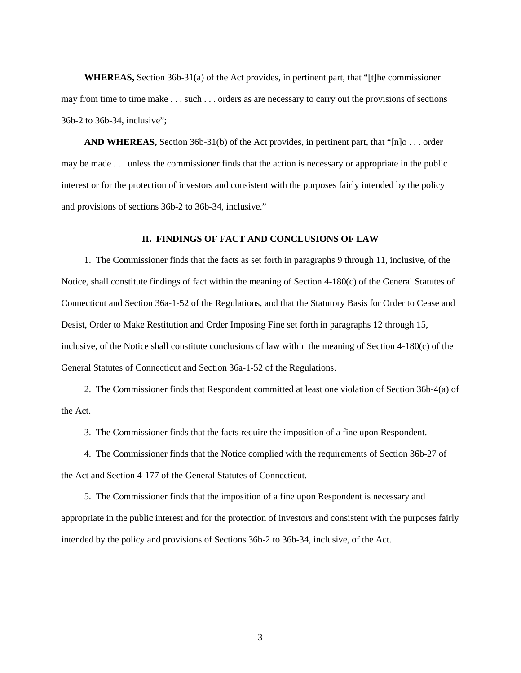**WHEREAS,** Section 36b-31(a) of the Act provides, in pertinent part, that "[t]he commissioner may from time to time make . . . such . . . orders as are necessary to carry out the provisions of sections 36b-2 to 36b-34, inclusive";

**AND WHEREAS,** Section 36b-31(b) of the Act provides, in pertinent part, that "[n]o . . . order may be made . . . unless the commissioner finds that the action is necessary or appropriate in the public interest or for the protection of investors and consistent with the purposes fairly intended by the policy and provisions of sections 36b-2 to 36b-34, inclusive."

## **II. FINDINGS OF FACT AND CONCLUSIONS OF LAW**

1. The Commissioner finds that the facts as set forth in paragraphs 9 through 11, inclusive, of the Notice, shall constitute findings of fact within the meaning of Section 4-180(c) of the General Statutes of Connecticut and Section 36a-1-52 of the Regulations, and that the Statutory Basis for Order to Cease and Desist, Order to Make Restitution and Order Imposing Fine set forth in paragraphs 12 through 15, inclusive, of the Notice shall constitute conclusions of law within the meaning of Section 4-180(c) of the General Statutes of Connecticut and Section 36a-1-52 of the Regulations.

2. The Commissioner finds that Respondent committed at least one violation of Section 36b-4(a) of the Act.

3. The Commissioner finds that the facts require the imposition of a fine upon Respondent.

4. The Commissioner finds that the Notice complied with the requirements of Section 36b-27 of the Act and Section 4-177 of the General Statutes of Connecticut.

5. The Commissioner finds that the imposition of a fine upon Respondent is necessary and appropriate in the public interest and for the protection of investors and consistent with the purposes fairly intended by the policy and provisions of Sections 36b-2 to 36b-34, inclusive, of the Act.